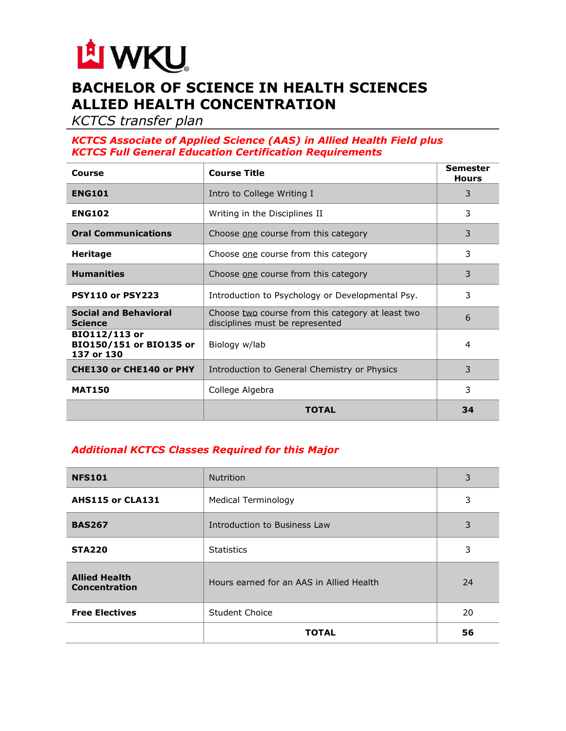

# **BACHELOR OF SCIENCE IN HEALTH SCIENCES ALLIED HEALTH CONCENTRATION**

*KCTCS transfer plan*

### *KCTCS Associate of Applied Science (AAS) in Allied Health Field plus KCTCS Full General Education Certification Requirements*

| Course                                                 | <b>Course Title</b>                                                                  | <b>Semester</b><br><b>Hours</b> |
|--------------------------------------------------------|--------------------------------------------------------------------------------------|---------------------------------|
| <b>ENG101</b>                                          | Intro to College Writing I                                                           | 3                               |
| <b>ENG102</b>                                          | Writing in the Disciplines II                                                        | 3                               |
| <b>Oral Communications</b>                             | Choose one course from this category                                                 | 3                               |
| <b>Heritage</b>                                        | Choose one course from this category                                                 | 3                               |
| <b>Humanities</b>                                      | Choose one course from this category                                                 | 3                               |
| <b>PSY110 or PSY223</b>                                | Introduction to Psychology or Developmental Psy.                                     | 3                               |
| <b>Social and Behavioral</b><br><b>Science</b>         | Choose two course from this category at least two<br>disciplines must be represented | 6                               |
| BIO112/113 or<br>BIO150/151 or BIO135 or<br>137 or 130 | Biology w/lab                                                                        | 4                               |
| CHE130 or CHE140 or PHY                                | Introduction to General Chemistry or Physics                                         | 3                               |
| <b>MAT150</b>                                          | College Algebra                                                                      | 3                               |
|                                                        | TOTAL                                                                                | 34                              |

# *Additional KCTCS Classes Required for this Major*

| <b>NFS101</b>                         | <b>Nutrition</b>                         | 3  |
|---------------------------------------|------------------------------------------|----|
| AHS115 or CLA131                      | Medical Terminology                      | 3  |
| <b>BAS267</b>                         | Introduction to Business Law             | 3  |
| <b>STA220</b>                         | <b>Statistics</b>                        | 3  |
| <b>Allied Health</b><br>Concentration | Hours earned for an AAS in Allied Health | 24 |
| <b>Free Electives</b>                 | Student Choice                           | 20 |
|                                       | <b>TOTAL</b>                             | 56 |